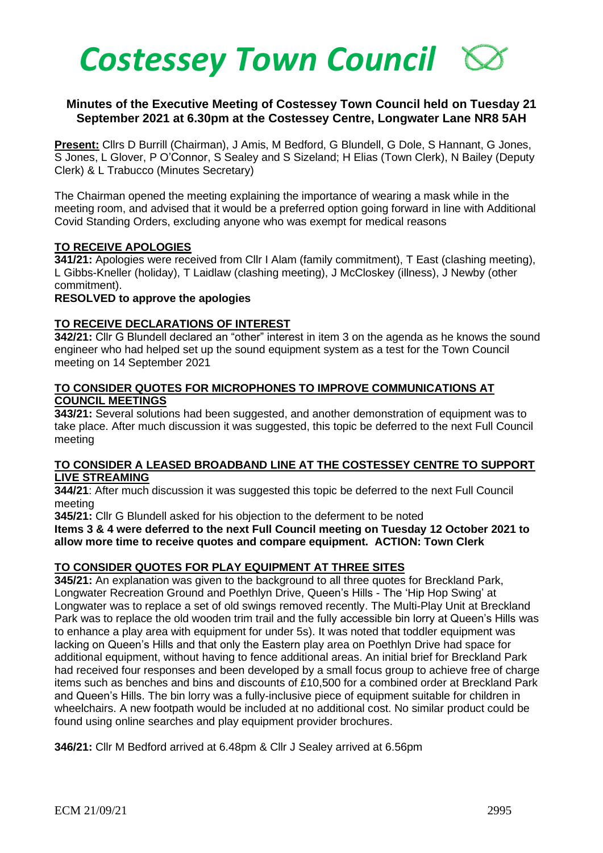

## **Minutes of the Executive Meeting of Costessey Town Council held on Tuesday 21 September 2021 at 6.30pm at the Costessey Centre, Longwater Lane NR8 5AH**

**Present:** Cllrs D Burrill (Chairman), J Amis, M Bedford, G Blundell, G Dole, S Hannant, G Jones, S Jones, L Glover, P O'Connor, S Sealey and S Sizeland; H Elias (Town Clerk), N Bailey (Deputy Clerk) & L Trabucco (Minutes Secretary)

The Chairman opened the meeting explaining the importance of wearing a mask while in the meeting room, and advised that it would be a preferred option going forward in line with Additional Covid Standing Orders, excluding anyone who was exempt for medical reasons

### **TO RECEIVE APOLOGIES**

**341/21:** Apologies were received from Cllr I Alam (family commitment), T East (clashing meeting), L Gibbs-Kneller (holiday), T Laidlaw (clashing meeting), J McCloskey (illness), J Newby (other commitment).

#### **RESOLVED to approve the apologies**

## **TO RECEIVE DECLARATIONS OF INTEREST**

**342/21:** Cllr G Blundell declared an "other" interest in item 3 on the agenda as he knows the sound engineer who had helped set up the sound equipment system as a test for the Town Council meeting on 14 September 2021

### **TO CONSIDER QUOTES FOR MICROPHONES TO IMPROVE COMMUNICATIONS AT COUNCIL MEETINGS**

**343/21:** Several solutions had been suggested, and another demonstration of equipment was to take place. After much discussion it was suggested, this topic be deferred to the next Full Council meeting

#### **TO CONSIDER A LEASED BROADBAND LINE AT THE COSTESSEY CENTRE TO SUPPORT LIVE STREAMING**

**344/21**: After much discussion it was suggested this topic be deferred to the next Full Council meeting

**345/21:** Cllr G Blundell asked for his objection to the deferment to be noted

**Items 3 & 4 were deferred to the next Full Council meeting on Tuesday 12 October 2021 to allow more time to receive quotes and compare equipment. ACTION: Town Clerk**

## **TO CONSIDER QUOTES FOR PLAY EQUIPMENT AT THREE SITES**

**345/21:** An explanation was given to the background to all three quotes for Breckland Park, Longwater Recreation Ground and Poethlyn Drive, Queen's Hills - The 'Hip Hop Swing' at Longwater was to replace a set of old swings removed recently. The Multi-Play Unit at Breckland Park was to replace the old wooden trim trail and the fully accessible bin lorry at Queen's Hills was to enhance a play area with equipment for under 5s). It was noted that toddler equipment was lacking on Queen's Hills and that only the Eastern play area on Poethlyn Drive had space for additional equipment, without having to fence additional areas. An initial brief for Breckland Park had received four responses and been developed by a small focus group to achieve free of charge items such as benches and bins and discounts of £10,500 for a combined order at Breckland Park and Queen's Hills. The bin lorry was a fully-inclusive piece of equipment suitable for children in wheelchairs. A new footpath would be included at no additional cost. No similar product could be found using online searches and play equipment provider brochures.

**346/21:** Cllr M Bedford arrived at 6.48pm & Cllr J Sealey arrived at 6.56pm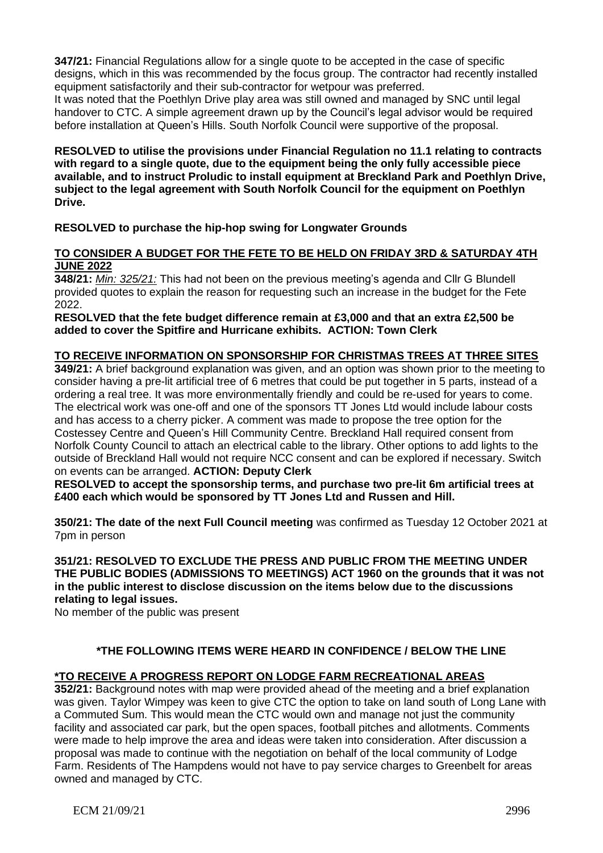**347/21:** Financial Regulations allow for a single quote to be accepted in the case of specific designs, which in this was recommended by the focus group. The contractor had recently installed equipment satisfactorily and their sub-contractor for wetpour was preferred.

It was noted that the Poethlyn Drive play area was still owned and managed by SNC until legal handover to CTC. A simple agreement drawn up by the Council's legal advisor would be required before installation at Queen's Hills. South Norfolk Council were supportive of the proposal.

**RESOLVED to utilise the provisions under Financial Regulation no 11.1 relating to contracts with regard to a single quote, due to the equipment being the only fully accessible piece available, and to instruct Proludic to install equipment at Breckland Park and Poethlyn Drive, subject to the legal agreement with South Norfolk Council for the equipment on Poethlyn Drive.**

## **RESOLVED to purchase the hip-hop swing for Longwater Grounds**

## **TO CONSIDER A BUDGET FOR THE FETE TO BE HELD ON FRIDAY 3RD & SATURDAY 4TH JUNE 2022**

**348/21:** *Min: 325/21:* This had not been on the previous meeting's agenda and Cllr G Blundell provided quotes to explain the reason for requesting such an increase in the budget for the Fete 2022.

**RESOLVED that the fete budget difference remain at £3,000 and that an extra £2,500 be added to cover the Spitfire and Hurricane exhibits. ACTION: Town Clerk**

## **TO RECEIVE INFORMATION ON SPONSORSHIP FOR CHRISTMAS TREES AT THREE SITES**

**349/21:** A brief background explanation was given, and an option was shown prior to the meeting to consider having a pre-lit artificial tree of 6 metres that could be put together in 5 parts, instead of a ordering a real tree. It was more environmentally friendly and could be re-used for years to come. The electrical work was one-off and one of the sponsors TT Jones Ltd would include labour costs and has access to a cherry picker. A comment was made to propose the tree option for the Costessey Centre and Queen's Hill Community Centre. Breckland Hall required consent from Norfolk County Council to attach an electrical cable to the library. Other options to add lights to the outside of Breckland Hall would not require NCC consent and can be explored if necessary. Switch on events can be arranged. **ACTION: Deputy Clerk**

**RESOLVED to accept the sponsorship terms, and purchase two pre-lit 6m artificial trees at £400 each which would be sponsored by TT Jones Ltd and Russen and Hill.**

**350/21: The date of the next Full Council meeting** was confirmed as Tuesday 12 October 2021 at 7pm in person

**351/21: RESOLVED TO EXCLUDE THE PRESS AND PUBLIC FROM THE MEETING UNDER THE PUBLIC BODIES (ADMISSIONS TO MEETINGS) ACT 1960 on the grounds that it was not in the public interest to disclose discussion on the items below due to the discussions relating to legal issues.** 

No member of the public was present

## **\*THE FOLLOWING ITEMS WERE HEARD IN CONFIDENCE / BELOW THE LINE**

## **\*TO RECEIVE A PROGRESS REPORT ON LODGE FARM RECREATIONAL AREAS**

**352/21:** Background notes with map were provided ahead of the meeting and a brief explanation was given. Taylor Wimpey was keen to give CTC the option to take on land south of Long Lane with a Commuted Sum. This would mean the CTC would own and manage not just the community facility and associated car park, but the open spaces, football pitches and allotments. Comments were made to help improve the area and ideas were taken into consideration. After discussion a proposal was made to continue with the negotiation on behalf of the local community of Lodge Farm. Residents of The Hampdens would not have to pay service charges to Greenbelt for areas owned and managed by CTC.